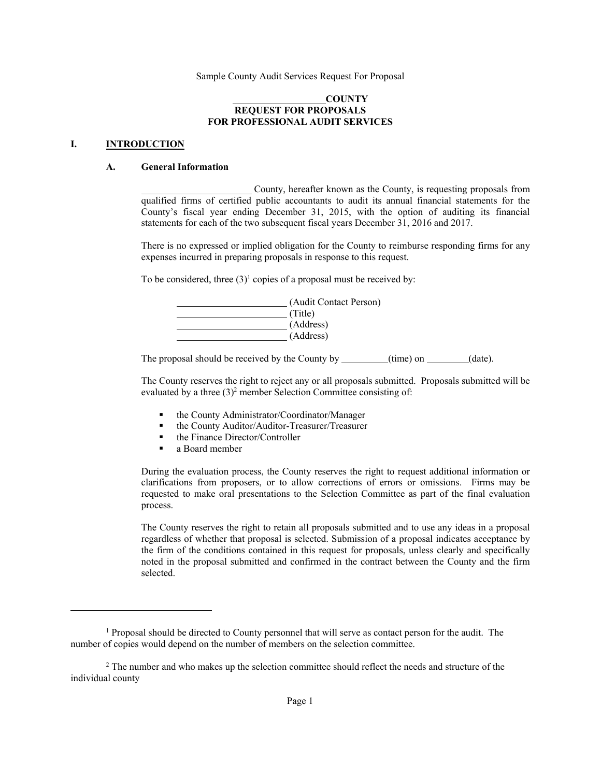### **COUNTY REQUEST FOR PROPOSALS FOR PROFESSIONAL AUDIT SERVICES**

#### **I. INTRODUCTION**

 $\overline{a}$ 

### **A. General Information**

 County, hereafter known as the County, is requesting proposals from qualified firms of certified public accountants to audit its annual financial statements for the County's fiscal year ending December 31, 2015, with the option of auditing its financial statements for each of the two subsequent fiscal years December 31, 2016 and 2017.

There is no expressed or implied obligation for the County to reimburse responding firms for any expenses incurred in preparing proposals in response to this request.

To be considered, three  $(3)^1$  copies of a proposal must be received by:

| (Audit Contact Person) |
|------------------------|
| (Title)                |
| (Address)              |
| (Address)              |

The proposal should be received by the County by \_\_\_\_\_\_\_(time) on \_\_\_\_\_(date).

The County reserves the right to reject any or all proposals submitted. Proposals submitted will be evaluated by a three  $(3)^2$  member Selection Committee consisting of:

- the County Administrator/Coordinator/Manager
- the County Auditor/Auditor-Treasurer/Treasurer
- the Finance Director/Controller
- a Board member

During the evaluation process, the County reserves the right to request additional information or clarifications from proposers, or to allow corrections of errors or omissions. Firms may be requested to make oral presentations to the Selection Committee as part of the final evaluation process.

The County reserves the right to retain all proposals submitted and to use any ideas in a proposal regardless of whether that proposal is selected. Submission of a proposal indicates acceptance by the firm of the conditions contained in this request for proposals, unless clearly and specifically noted in the proposal submitted and confirmed in the contract between the County and the firm selected.

<sup>&</sup>lt;sup>1</sup> Proposal should be directed to County personnel that will serve as contact person for the audit. The number of copies would depend on the number of members on the selection committee.

<sup>&</sup>lt;sup>2</sup> The number and who makes up the selection committee should reflect the needs and structure of the individual county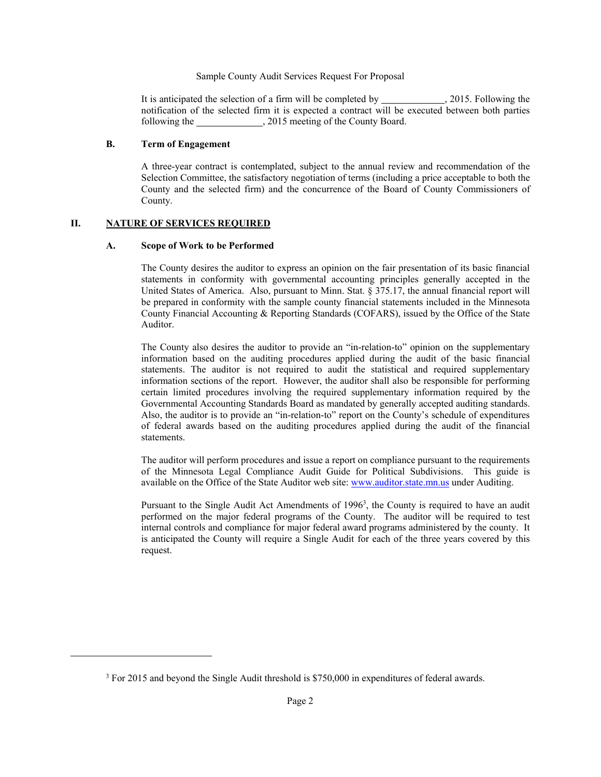It is anticipated the selection of a firm will be completed by \_\_\_\_\_\_\_\_\_\_\_\_\_\_\_\_, 2015. Following the notification of the selected firm it is expected a contract will be executed between both parties following the , 2015 meeting of the County Board.

## **B. Term of Engagement**

A three-year contract is contemplated, subject to the annual review and recommendation of the Selection Committee, the satisfactory negotiation of terms (including a price acceptable to both the County and the selected firm) and the concurrence of the Board of County Commissioners of County.

## **II. NATURE OF SERVICES REQUIRED**

 $\overline{a}$ 

#### **A. Scope of Work to be Performed**

The County desires the auditor to express an opinion on the fair presentation of its basic financial statements in conformity with governmental accounting principles generally accepted in the United States of America. Also, pursuant to Minn. Stat. § 375.17, the annual financial report will be prepared in conformity with the sample county financial statements included in the Minnesota County Financial Accounting & Reporting Standards (COFARS), issued by the Office of the State Auditor.

The County also desires the auditor to provide an "in-relation-to" opinion on the supplementary information based on the auditing procedures applied during the audit of the basic financial statements. The auditor is not required to audit the statistical and required supplementary information sections of the report. However, the auditor shall also be responsible for performing certain limited procedures involving the required supplementary information required by the Governmental Accounting Standards Board as mandated by generally accepted auditing standards. Also, the auditor is to provide an "in-relation-to" report on the County's schedule of expenditures of federal awards based on the auditing procedures applied during the audit of the financial statements.

The auditor will perform procedures and issue a report on compliance pursuant to the requirements of the Minnesota Legal Compliance Audit Guide for Political Subdivisions. This guide is available on the Office of the State Auditor web site: www.auditor.state.mn.us under Auditing.

Pursuant to the Single Audit Act Amendments of 1996<sup>3</sup>, the County is required to have an audit performed on the major federal programs of the County. The auditor will be required to test internal controls and compliance for major federal award programs administered by the county. It is anticipated the County will require a Single Audit for each of the three years covered by this request.

<sup>&</sup>lt;sup>3</sup> For 2015 and beyond the Single Audit threshold is \$750,000 in expenditures of federal awards.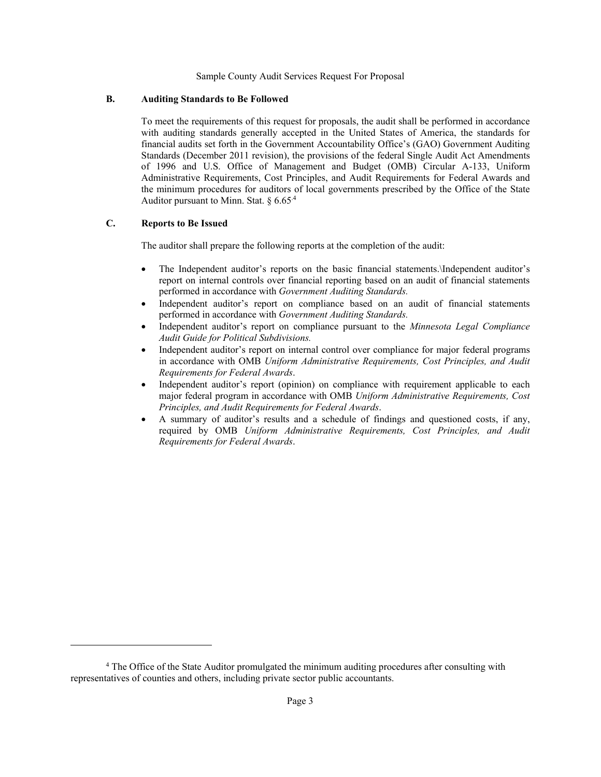#### **B. Auditing Standards to Be Followed**

To meet the requirements of this request for proposals, the audit shall be performed in accordance with auditing standards generally accepted in the United States of America, the standards for financial audits set forth in the Government Accountability Office's (GAO) Government Auditing Standards (December 2011 revision), the provisions of the federal Single Audit Act Amendments of 1996 and U.S. Office of Management and Budget (OMB) Circular A-133, Uniform Administrative Requirements, Cost Principles, and Audit Requirements for Federal Awards and the minimum procedures for auditors of local governments prescribed by the Office of the State Auditor pursuant to Minn. Stat.  $§ 6.65<sup>4</sup>$ 

#### **C. Reports to Be Issued**

 $\overline{a}$ 

The auditor shall prepare the following reports at the completion of the audit:

- The Independent auditor's reports on the basic financial statements.\Independent auditor's report on internal controls over financial reporting based on an audit of financial statements performed in accordance with *Government Auditing Standards.*
- Independent auditor's report on compliance based on an audit of financial statements performed in accordance with *Government Auditing Standards.*
- Independent auditor's report on compliance pursuant to the *Minnesota Legal Compliance Audit Guide for Political Subdivisions.*
- Independent auditor's report on internal control over compliance for major federal programs in accordance with OMB *Uniform Administrative Requirements, Cost Principles, and Audit Requirements for Federal Awards*.
- Independent auditor's report (opinion) on compliance with requirement applicable to each major federal program in accordance with OMB *Uniform Administrative Requirements, Cost Principles, and Audit Requirements for Federal Awards*.
- A summary of auditor's results and a schedule of findings and questioned costs, if any, required by OMB *Uniform Administrative Requirements, Cost Principles, and Audit Requirements for Federal Awards*.

<sup>&</sup>lt;sup>4</sup> The Office of the State Auditor promulgated the minimum auditing procedures after consulting with representatives of counties and others, including private sector public accountants.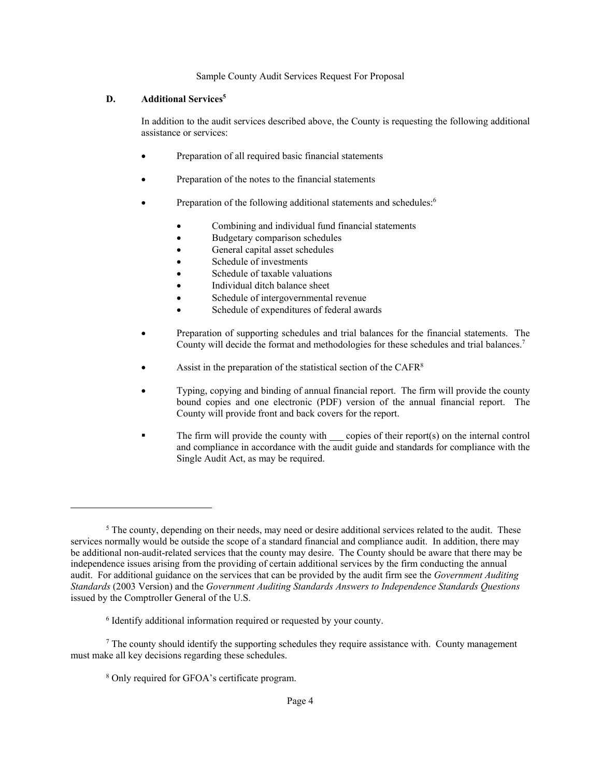## **D. Additional Services<sup>5</sup>**

In addition to the audit services described above, the County is requesting the following additional assistance or services:

- Preparation of all required basic financial statements
- Preparation of the notes to the financial statements
- Preparation of the following additional statements and schedules:<sup>6</sup>
	- Combining and individual fund financial statements
	- Budgetary comparison schedules
	- General capital asset schedules
	- Schedule of investments
	- Schedule of taxable valuations
	- Individual ditch balance sheet
	- Schedule of intergovernmental revenue
	- Schedule of expenditures of federal awards
- Preparation of supporting schedules and trial balances for the financial statements. The County will decide the format and methodologies for these schedules and trial balances.<sup>7</sup>
- Assist in the preparation of the statistical section of the CAFR<sup>8</sup>
- Typing, copying and binding of annual financial report. The firm will provide the county bound copies and one electronic (PDF) version of the annual financial report. The County will provide front and back covers for the report.
- The firm will provide the county with  $\_\_$  copies of their report(s) on the internal control and compliance in accordance with the audit guide and standards for compliance with the Single Audit Act, as may be required.

 $\overline{a}$ 

<sup>&</sup>lt;sup>5</sup> The county, depending on their needs, may need or desire additional services related to the audit. These services normally would be outside the scope of a standard financial and compliance audit. In addition, there may be additional non-audit-related services that the county may desire. The County should be aware that there may be independence issues arising from the providing of certain additional services by the firm conducting the annual audit. For additional guidance on the services that can be provided by the audit firm see the *Government Auditing Standards* (2003 Version) and the *Government Auditing Standards Answers to Independence Standards Questions* issued by the Comptroller General of the U.S.

<sup>6</sup> Identify additional information required or requested by your county.

 $<sup>7</sup>$  The county should identify the supporting schedules they require assistance with. County management</sup> must make all key decisions regarding these schedules.

<sup>8</sup> Only required for GFOA's certificate program.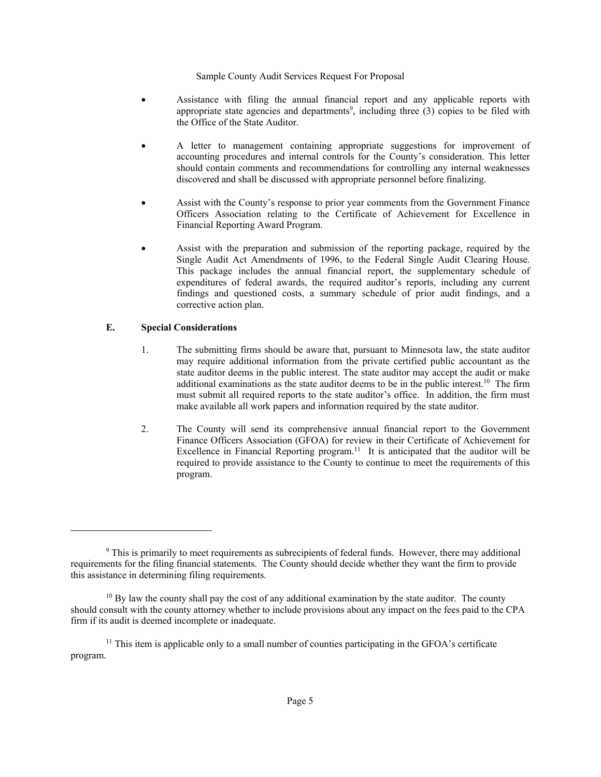- Assistance with filing the annual financial report and any applicable reports with appropriate state agencies and departments<sup>9</sup>, including three  $(3)$  copies to be filed with the Office of the State Auditor.
- A letter to management containing appropriate suggestions for improvement of accounting procedures and internal controls for the County's consideration. This letter should contain comments and recommendations for controlling any internal weaknesses discovered and shall be discussed with appropriate personnel before finalizing.
- Assist with the County's response to prior year comments from the Government Finance Officers Association relating to the Certificate of Achievement for Excellence in Financial Reporting Award Program.
- Assist with the preparation and submission of the reporting package, required by the Single Audit Act Amendments of 1996, to the Federal Single Audit Clearing House. This package includes the annual financial report, the supplementary schedule of expenditures of federal awards, the required auditor's reports, including any current findings and questioned costs, a summary schedule of prior audit findings, and a corrective action plan.

# **E. Special Considerations**

-

- 1. The submitting firms should be aware that, pursuant to Minnesota law, the state auditor may require additional information from the private certified public accountant as the state auditor deems in the public interest. The state auditor may accept the audit or make additional examinations as the state auditor deems to be in the public interest.<sup>10</sup> The firm must submit all required reports to the state auditor's office. In addition, the firm must make available all work papers and information required by the state auditor.
- 2. The County will send its comprehensive annual financial report to the Government Finance Officers Association (GFOA) for review in their Certificate of Achievement for Excellence in Financial Reporting program.<sup>11</sup> It is anticipated that the auditor will be required to provide assistance to the County to continue to meet the requirements of this program.

<sup>&</sup>lt;sup>9</sup> This is primarily to meet requirements as subrecipients of federal funds. However, there may additional requirements for the filing financial statements. The County should decide whether they want the firm to provide this assistance in determining filing requirements.

<sup>&</sup>lt;sup>10</sup> By law the county shall pay the cost of any additional examination by the state auditor. The county should consult with the county attorney whether to include provisions about any impact on the fees paid to the CPA firm if its audit is deemed incomplete or inadequate.

<sup>&</sup>lt;sup>11</sup> This item is applicable only to a small number of counties participating in the GFOA's certificate program.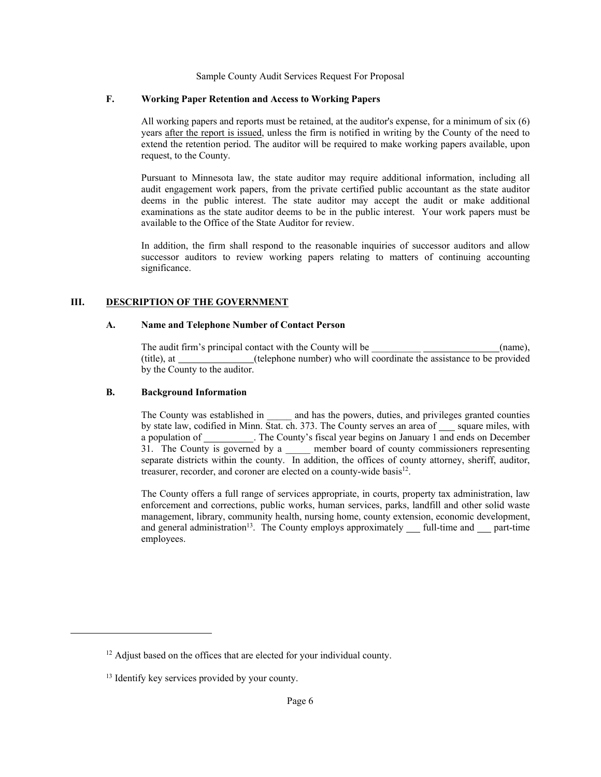#### **F. Working Paper Retention and Access to Working Papers**

All working papers and reports must be retained, at the auditor's expense, for a minimum of six (6) years after the report is issued, unless the firm is notified in writing by the County of the need to extend the retention period. The auditor will be required to make working papers available, upon request, to the County.

Pursuant to Minnesota law, the state auditor may require additional information, including all audit engagement work papers, from the private certified public accountant as the state auditor deems in the public interest. The state auditor may accept the audit or make additional examinations as the state auditor deems to be in the public interest. Your work papers must be available to the Office of the State Auditor for review.

In addition, the firm shall respond to the reasonable inquiries of successor auditors and allow successor auditors to review working papers relating to matters of continuing accounting significance.

## **III. DESCRIPTION OF THE GOVERNMENT**

#### **A. Name and Telephone Number of Contact Person**

The audit firm's principal contact with the County will be  $(name)$ , (title), at \_\_\_\_\_\_\_\_\_\_\_\_(telephone number) who will coordinate the assistance to be provided by the County to the auditor.

#### **B. Background Information**

The County was established in \_\_\_\_\_\_ and has the powers, duties, and privileges granted counties by state law, codified in Minn. Stat. ch. 373. The County serves an area of square miles, with a population of \_\_\_\_\_\_\_\_\_\_. The County's fiscal year begins on January 1 and ends on December 31. The County is governed by a \_\_\_\_\_ member board of county commissioners representing separate districts within the county. In addition, the offices of county attorney, sheriff, auditor, treasurer, recorder, and coroner are elected on a county-wide basis $^{12}$ .

The County offers a full range of services appropriate, in courts, property tax administration, law enforcement and corrections, public works, human services, parks, landfill and other solid waste management, library, community health, nursing home, county extension, economic development, and general administration<sup>13</sup>. The County employs approximately  $\quad$  full-time and  $\quad$  part-time employees.

 $\overline{a}$ 

<sup>&</sup>lt;sup>12</sup> Adjust based on the offices that are elected for your individual county.

<sup>&</sup>lt;sup>13</sup> Identify key services provided by your county.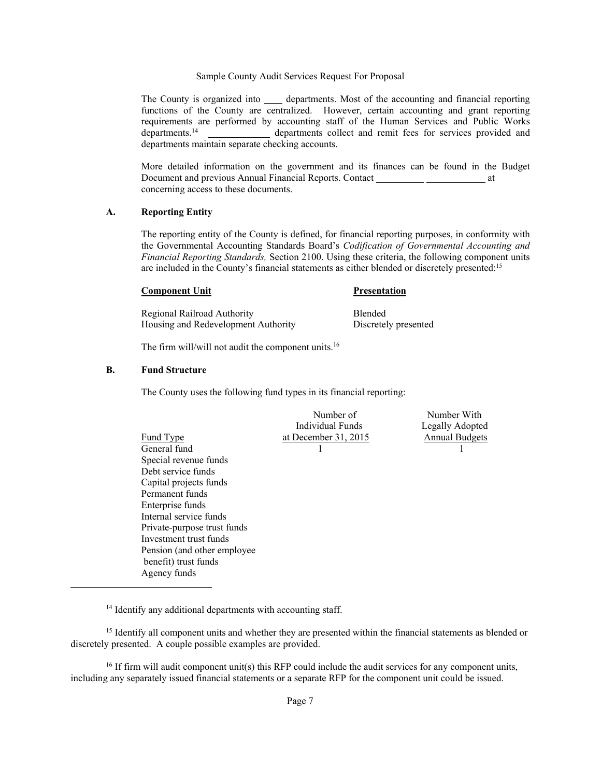The County is organized into  $\qquad \qquad$  departments. Most of the accounting and financial reporting functions of the County are centralized. However, certain accounting and grant reporting requirements are performed by accounting staff of the Human Services and Public Works departments.<sup>14</sup> departments collect and remit fees for services provided and departments maintain separate checking accounts.

More detailed information on the government and its finances can be found in the Budget Document and previous Annual Financial Reports. Contact \_\_\_\_\_\_\_\_\_\_\_\_\_\_\_\_\_\_\_\_\_\_\_\_\_ at concerning access to these documents.

#### **A. Reporting Entity**

The reporting entity of the County is defined, for financial reporting purposes, in conformity with the Governmental Accounting Standards Board's *Codification of Governmental Accounting and Financial Reporting Standards,* Section 2100. Using these criteria, the following component units are included in the County's financial statements as either blended or discretely presented:<sup>15</sup>

#### **Component Unit** Presentation

Regional Railroad Authority Blended Housing and Redevelopment Authority Discretely presented

The firm will/will not audit the component units.<sup>16</sup>

#### **B. Fund Structure**

-

The County uses the following fund types in its financial reporting:

|                              | Number of            | Number With           |
|------------------------------|----------------------|-----------------------|
|                              | Individual Funds     | Legally Adopted       |
| <b>Fund Type</b>             | at December 31, 2015 | <b>Annual Budgets</b> |
| General fund                 |                      |                       |
| Special revenue funds        |                      |                       |
| Debt service funds           |                      |                       |
| Capital projects funds       |                      |                       |
| Permanent funds              |                      |                       |
| Enterprise funds             |                      |                       |
| Internal service funds       |                      |                       |
| Private-purpose trust funds  |                      |                       |
| Investment trust funds       |                      |                       |
| Pension (and other employee) |                      |                       |
| benefit) trust funds         |                      |                       |
| Agency funds                 |                      |                       |

<sup>14</sup> Identify any additional departments with accounting staff.

<sup>15</sup> Identify all component units and whether they are presented within the financial statements as blended or discretely presented. A couple possible examples are provided.

 $16$  If firm will audit component unit(s) this RFP could include the audit services for any component units, including any separately issued financial statements or a separate RFP for the component unit could be issued.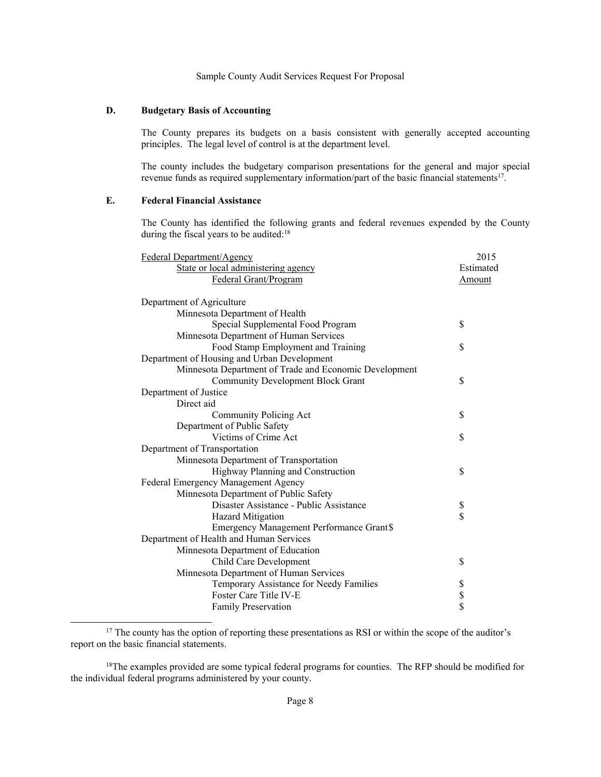## **D. Budgetary Basis of Accounting**

The County prepares its budgets on a basis consistent with generally accepted accounting principles. The legal level of control is at the department level.

 The county includes the budgetary comparison presentations for the general and major special revenue funds as required supplementary information/part of the basic financial statements<sup>17</sup>.

# **E. Federal Financial Assistance**

 $\overline{a}$ 

The County has identified the following grants and federal revenues expended by the County during the fiscal years to be audited:<sup>18</sup>

| Federal Department/Agency                              | 2015      |
|--------------------------------------------------------|-----------|
| State or local administering agency                    | Estimated |
| Federal Grant/Program                                  | Amount    |
|                                                        |           |
| Department of Agriculture                              |           |
| Minnesota Department of Health                         |           |
| Special Supplemental Food Program                      | \$        |
| Minnesota Department of Human Services                 |           |
| Food Stamp Employment and Training                     | \$        |
| Department of Housing and Urban Development            |           |
| Minnesota Department of Trade and Economic Development |           |
| <b>Community Development Block Grant</b>               | \$        |
| Department of Justice                                  |           |
| Direct aid                                             |           |
| Community Policing Act                                 | \$        |
| Department of Public Safety                            |           |
| Victims of Crime Act                                   | \$        |
| Department of Transportation                           |           |
| Minnesota Department of Transportation                 |           |
| Highway Planning and Construction                      | \$        |
| Federal Emergency Management Agency                    |           |
| Minnesota Department of Public Safety                  |           |
| Disaster Assistance - Public Assistance                | \$        |
| <b>Hazard Mitigation</b>                               | \$        |
| Emergency Management Performance Grant\$               |           |
| Department of Health and Human Services                |           |
| Minnesota Department of Education                      |           |
| Child Care Development                                 | \$        |
| Minnesota Department of Human Services                 |           |
| Temporary Assistance for Needy Families                |           |
| Foster Care Title IV-E                                 | \$<br>\$  |
| <b>Family Preservation</b>                             |           |

<sup>&</sup>lt;sup>17</sup> The county has the option of reporting these presentations as RSI or within the scope of the auditor's report on the basic financial statements.

<sup>&</sup>lt;sup>18</sup>The examples provided are some typical federal programs for counties. The RFP should be modified for the individual federal programs administered by your county.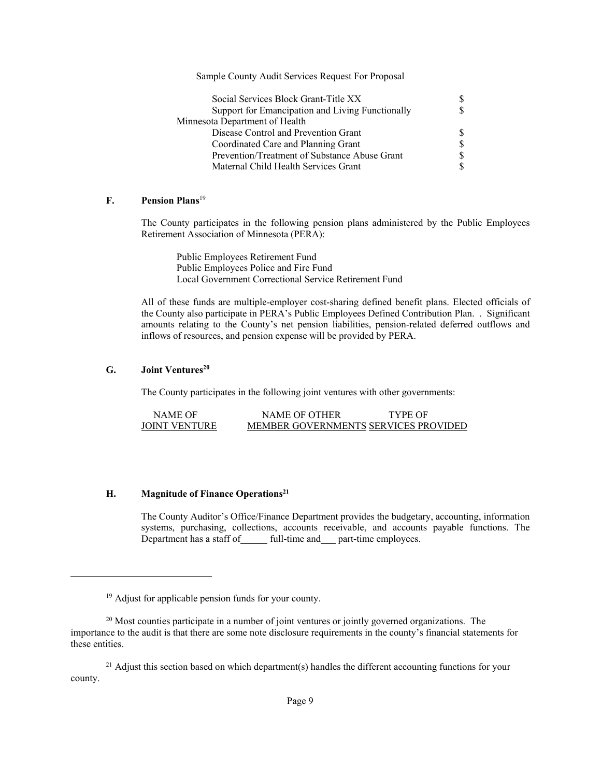| Social Services Block Grant-Title XX             | S.            |
|--------------------------------------------------|---------------|
| Support for Emancipation and Living Functionally | <sup>\$</sup> |
| Minnesota Department of Health                   |               |
| Disease Control and Prevention Grant             | <sup>S</sup>  |
| Coordinated Care and Planning Grant              | \$            |
| Prevention/Treatment of Substance Abuse Grant    | <sup>\$</sup> |
| Maternal Child Health Services Grant             | \$            |

## **F. Pension Plans**<sup>19</sup>

The County participates in the following pension plans administered by the Public Employees Retirement Association of Minnesota (PERA):

 Public Employees Retirement Fund Public Employees Police and Fire Fund Local Government Correctional Service Retirement Fund

All of these funds are multiple-employer cost-sharing defined benefit plans. Elected officials of the County also participate in PERA's Public Employees Defined Contribution Plan. . Significant amounts relating to the County's net pension liabilities, pension-related deferred outflows and inflows of resources, and pension expense will be provided by PERA.

## **G. Joint Ventures<sup>20</sup>**

 $\overline{a}$ 

The County participates in the following joint ventures with other governments:

| NAME OF              | NAME OF OTHER                        | TYPE OF |
|----------------------|--------------------------------------|---------|
| <b>JOINT VENTURE</b> | MEMBER GOVERNMENTS SERVICES PROVIDED |         |

# **H. Magnitude of Finance Operations<sup>21</sup>**

The County Auditor's Office/Finance Department provides the budgetary, accounting, information systems, purchasing, collections, accounts receivable, and accounts payable functions. The Department has a staff of full-time and part-time employees.

 $21$  Adjust this section based on which department(s) handles the different accounting functions for your county.

<sup>&</sup>lt;sup>19</sup> Adjust for applicable pension funds for your county.

 $20$  Most counties participate in a number of joint ventures or jointly governed organizations. The importance to the audit is that there are some note disclosure requirements in the county's financial statements for these entities.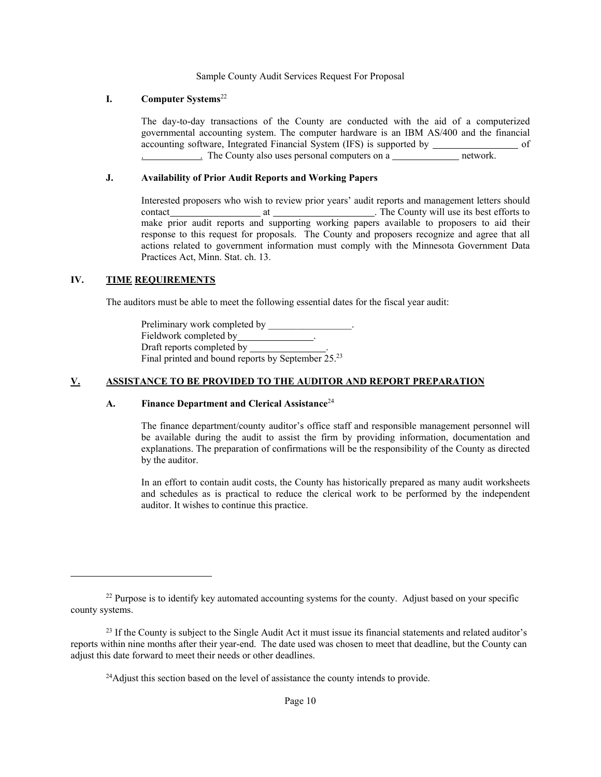## **I. Computer Systems**<sup>22</sup>

The day-to-day transactions of the County are conducted with the aid of a computerized governmental accounting system. The computer hardware is an IBM AS/400 and the financial accounting software, Integrated Financial System (IFS) is supported by of . The County also uses personal computers on a network.

# **J. Availability of Prior Audit Reports and Working Papers**

Interested proposers who wish to review prior years' audit reports and management letters should contact at . The County will use its best efforts to make prior audit reports and supporting working papers available to proposers to aid their response to this request for proposals. The County and proposers recognize and agree that all actions related to government information must comply with the Minnesota Government Data Practices Act, Minn. Stat. ch. 13.

## **IV. TIME REQUIREMENTS**

 $\overline{a}$ 

The auditors must be able to meet the following essential dates for the fiscal year audit:

Preliminary work completed by \_\_\_\_\_\_\_\_\_\_\_\_\_\_\_\_. Fieldwork completed by Draft reports completed by Final printed and bound reports by September 25.<sup>23</sup>

## **V. ASSISTANCE TO BE PROVIDED TO THE AUDITOR AND REPORT PREPARATION**

## **A. Finance Department and Clerical Assistance**<sup>24</sup>

The finance department/county auditor's office staff and responsible management personnel will be available during the audit to assist the firm by providing information, documentation and explanations. The preparation of confirmations will be the responsibility of the County as directed by the auditor.

In an effort to contain audit costs, the County has historically prepared as many audit worksheets and schedules as is practical to reduce the clerical work to be performed by the independent auditor. It wishes to continue this practice.

<sup>&</sup>lt;sup>22</sup> Purpose is to identify key automated accounting systems for the county. Adjust based on your specific county systems.

<sup>&</sup>lt;sup>23</sup> If the County is subject to the Single Audit Act it must issue its financial statements and related auditor's reports within nine months after their year-end. The date used was chosen to meet that deadline, but the County can adjust this date forward to meet their needs or other deadlines.

<sup>&</sup>lt;sup>24</sup>Adjust this section based on the level of assistance the county intends to provide.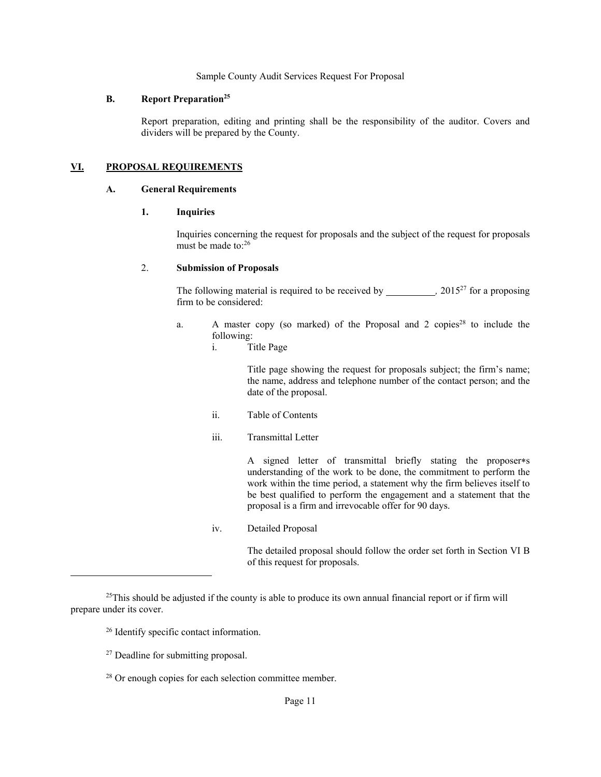#### **B. Report Preparation<sup>25</sup>**

Report preparation, editing and printing shall be the responsibility of the auditor. Covers and dividers will be prepared by the County.

### **VI. PROPOSAL REQUIREMENTS**

#### **A. General Requirements**

#### **1. Inquiries**

Inquiries concerning the request for proposals and the subject of the request for proposals must be made to:<sup>26</sup>

#### 2. **Submission of Proposals**

The following material is required to be received by  $\frac{1}{2}$  2015<sup>27</sup> for a proposing firm to be considered:

- a. A master copy (so marked) of the Proposal and 2 copies<sup>28</sup> to include the following:
	- i. Title Page

Title page showing the request for proposals subject; the firm's name; the name, address and telephone number of the contact person; and the date of the proposal.

- ii. Table of Contents
- iii. Transmittal Letter

A signed letter of transmittal briefly stating the proposer\*s understanding of the work to be done, the commitment to perform the work within the time period, a statement why the firm believes itself to be best qualified to perform the engagement and a statement that the proposal is a firm and irrevocable offer for 90 days.

iv. Detailed Proposal

The detailed proposal should follow the order set forth in Section VI B of this request for proposals.

-

<sup>&</sup>lt;sup>25</sup>This should be adjusted if the county is able to produce its own annual financial report or if firm will prepare under its cover.

<sup>26</sup> Identify specific contact information.

<sup>&</sup>lt;sup>27</sup> Deadline for submitting proposal.

<sup>28</sup> Or enough copies for each selection committee member.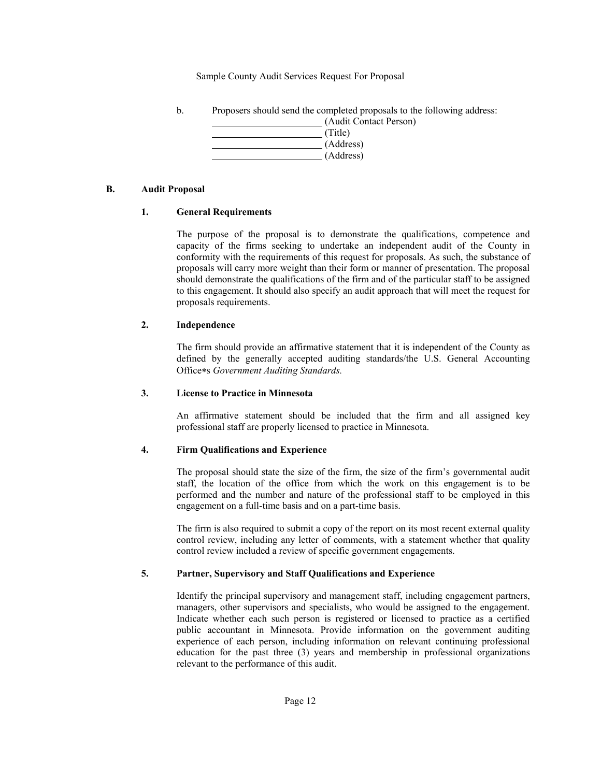b. Proposers should send the completed proposals to the following address:



## **B. Audit Proposal**

## **1. General Requirements**

The purpose of the proposal is to demonstrate the qualifications, competence and capacity of the firms seeking to undertake an independent audit of the County in conformity with the requirements of this request for proposals. As such, the substance of proposals will carry more weight than their form or manner of presentation. The proposal should demonstrate the qualifications of the firm and of the particular staff to be assigned to this engagement. It should also specify an audit approach that will meet the request for proposals requirements.

# **2. Independence**

The firm should provide an affirmative statement that it is independent of the County as defined by the generally accepted auditing standards/the U.S. General Accounting Offices *Government Auditing Standards.* 

## **3. License to Practice in Minnesota**

An affirmative statement should be included that the firm and all assigned key professional staff are properly licensed to practice in Minnesota.

## **4. Firm Qualifications and Experience**

The proposal should state the size of the firm, the size of the firm's governmental audit staff, the location of the office from which the work on this engagement is to be performed and the number and nature of the professional staff to be employed in this engagement on a full-time basis and on a part-time basis.

The firm is also required to submit a copy of the report on its most recent external quality control review, including any letter of comments, with a statement whether that quality control review included a review of specific government engagements.

# **5. Partner, Supervisory and Staff Qualifications and Experience**

Identify the principal supervisory and management staff, including engagement partners, managers, other supervisors and specialists, who would be assigned to the engagement. Indicate whether each such person is registered or licensed to practice as a certified public accountant in Minnesota. Provide information on the government auditing experience of each person, including information on relevant continuing professional education for the past three (3) years and membership in professional organizations relevant to the performance of this audit.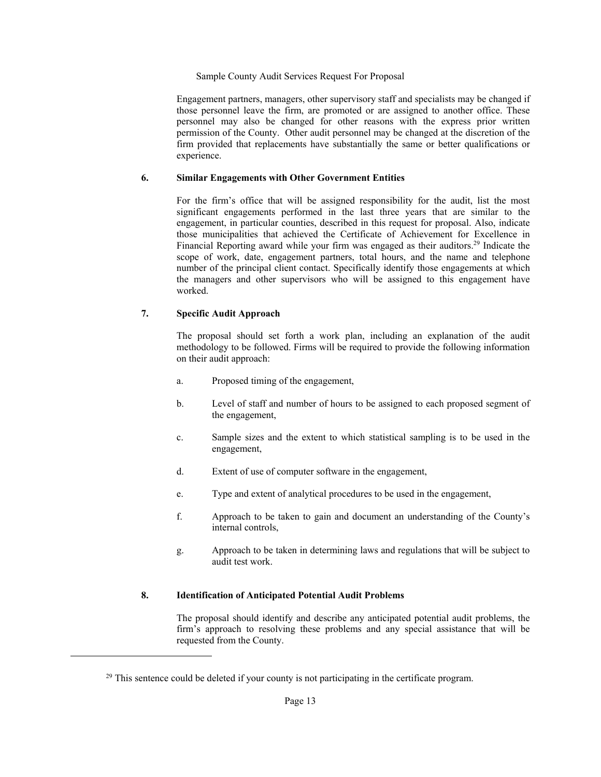Engagement partners, managers, other supervisory staff and specialists may be changed if those personnel leave the firm, are promoted or are assigned to another office. These personnel may also be changed for other reasons with the express prior written permission of the County. Other audit personnel may be changed at the discretion of the firm provided that replacements have substantially the same or better qualifications or experience.

## **6. Similar Engagements with Other Government Entities**

For the firm's office that will be assigned responsibility for the audit, list the most significant engagements performed in the last three years that are similar to the engagement, in particular counties, described in this request for proposal. Also, indicate those municipalities that achieved the Certificate of Achievement for Excellence in Financial Reporting award while your firm was engaged as their auditors.<sup>29</sup> Indicate the scope of work, date, engagement partners, total hours, and the name and telephone number of the principal client contact. Specifically identify those engagements at which the managers and other supervisors who will be assigned to this engagement have worked.

# **7. Specific Audit Approach**

1

The proposal should set forth a work plan, including an explanation of the audit methodology to be followed. Firms will be required to provide the following information on their audit approach:

- a. Proposed timing of the engagement,
- b. Level of staff and number of hours to be assigned to each proposed segment of the engagement,
- c. Sample sizes and the extent to which statistical sampling is to be used in the engagement,
- d. Extent of use of computer software in the engagement,
- e. Type and extent of analytical procedures to be used in the engagement,
- f. Approach to be taken to gain and document an understanding of the County's internal controls,
- g. Approach to be taken in determining laws and regulations that will be subject to audit test work.

## **8. Identification of Anticipated Potential Audit Problems**

The proposal should identify and describe any anticipated potential audit problems, the firm's approach to resolving these problems and any special assistance that will be requested from the County.

 $29$  This sentence could be deleted if your county is not participating in the certificate program.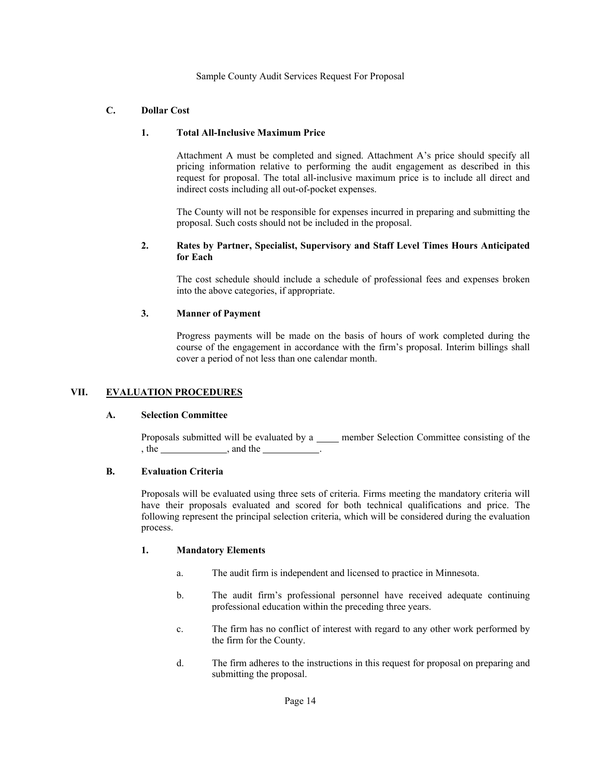# **C. Dollar Cost**

# **1. Total All-Inclusive Maximum Price**

Attachment A must be completed and signed. Attachment A's price should specify all pricing information relative to performing the audit engagement as described in this request for proposal. The total all-inclusive maximum price is to include all direct and indirect costs including all out-of-pocket expenses.

The County will not be responsible for expenses incurred in preparing and submitting the proposal. Such costs should not be included in the proposal.

## **2. Rates by Partner, Specialist, Supervisory and Staff Level Times Hours Anticipated for Each**

The cost schedule should include a schedule of professional fees and expenses broken into the above categories, if appropriate.

# **3. Manner of Payment**

Progress payments will be made on the basis of hours of work completed during the course of the engagement in accordance with the firm's proposal. Interim billings shall cover a period of not less than one calendar month.

## **VII. EVALUATION PROCEDURES**

## **A. Selection Committee**

Proposals submitted will be evaluated by a \_\_\_\_\_ member Selection Committee consisting of the , the , and the .

## **B. Evaluation Criteria**

Proposals will be evaluated using three sets of criteria. Firms meeting the mandatory criteria will have their proposals evaluated and scored for both technical qualifications and price. The following represent the principal selection criteria, which will be considered during the evaluation process.

## **1. Mandatory Elements**

- a. The audit firm is independent and licensed to practice in Minnesota.
- b. The audit firm's professional personnel have received adequate continuing professional education within the preceding three years.
- c. The firm has no conflict of interest with regard to any other work performed by the firm for the County.
- d. The firm adheres to the instructions in this request for proposal on preparing and submitting the proposal.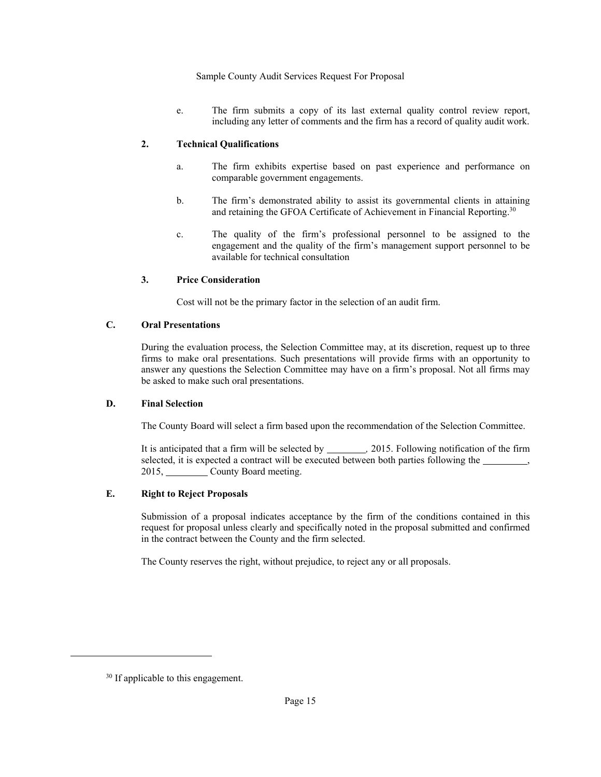e. The firm submits a copy of its last external quality control review report, including any letter of comments and the firm has a record of quality audit work.

# **2. Technical Qualifications**

- a. The firm exhibits expertise based on past experience and performance on comparable government engagements.
- b. The firm's demonstrated ability to assist its governmental clients in attaining and retaining the GFOA Certificate of Achievement in Financial Reporting.<sup>30</sup>
- c. The quality of the firm's professional personnel to be assigned to the engagement and the quality of the firm's management support personnel to be available for technical consultation

# **3. Price Consideration**

Cost will not be the primary factor in the selection of an audit firm.

# **C. Oral Presentations**

During the evaluation process, the Selection Committee may, at its discretion, request up to three firms to make oral presentations. Such presentations will provide firms with an opportunity to answer any questions the Selection Committee may have on a firm's proposal. Not all firms may be asked to make such oral presentations.

# **D. Final Selection**

The County Board will select a firm based upon the recommendation of the Selection Committee.

It is anticipated that a firm will be selected by \_\_\_\_\_\_\_\_\_, 2015. Following notification of the firm selected, it is expected a contract will be executed between both parties following the , 2015, County Board meeting.

# **E. Right to Reject Proposals**

Submission of a proposal indicates acceptance by the firm of the conditions contained in this request for proposal unless clearly and specifically noted in the proposal submitted and confirmed in the contract between the County and the firm selected.

The County reserves the right, without prejudice, to reject any or all proposals.

 $\overline{a}$ 

<sup>&</sup>lt;sup>30</sup> If applicable to this engagement.